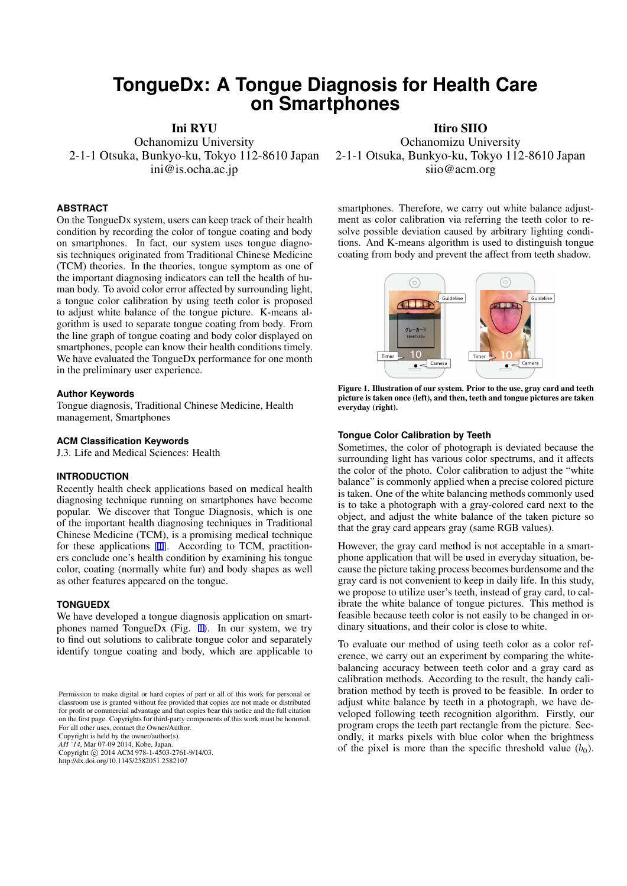# **TongueDx: A Tongue Diagnosis for Health Care on Smartphones**

Ini RYU

Ochanomizu University 2-1-1 Otsuka, Bunkyo-ku, Tokyo 112-8610 Japan ini@is.ocha.ac.jp

## **ABSTRACT**

On the TongueDx system, users can keep track of their health condition by recording the color of tongue coating and body on smartphones. In fact, our system uses tongue diagnosis techniques originated from Traditional Chinese Medicine (TCM) theories. In the theories, tongue symptom as one of the important diagnosing indicators can tell the health of human body. To avoid color error affected by surrounding light, a tongue color calibration by using teeth color is proposed to adjust white balance of the tongue picture. K-means algorithm is used to separate tongue coating from body. From the line graph of tongue coating and body color displayed on smartphones, people can know their health conditions timely. We have evaluated the TongueDx performance for one month in the preliminary user experience.

#### **Author Keywords**

Tongue diagnosis, Traditional Chinese Medicine, Health management, Smartphones

#### **ACM Classification Keywords**

J.3. Life and Medical Sciences: Health

## **INTRODUCTION**

Recently health check applications based on medical health diagnosing technique running on smartphones have become popular. We discover that Tongue Diagnosis, which is one of the important health diagnosing techniques in Traditional Chinese Medicine (TCM), is a promising medical technique for these applications [[1\]](#page-1-0). According to TCM, practitioners conclude one's health condition by examining his tongue color, coating (normally white fur) and body shapes as well as other features appeared on the tongue.

#### **TONGUEDX**

We have developed a tongue diagnosis application on smartphones named TongueDx (Fig. 1). In our system, we try to find out solutions to calibrate tongue color and separately identify tongue coating and body, which are applicable to

Permission to make digital or hard copies of part or all of this work for personal or classroom use is granted without fee provided that copies are not made or distributed for profit or commercial advantage and that copies bear this notice and the full citation on the first page. Copyrights for third-party components of this work must be honored. For all other uses, contact the Owner/Author. Copyright is held by the owner/author(s).

*AH '14*, Mar 07-09 2014, Kobe, Japan.

Copyright *(* $\overline{c}$ ) 2014 ACM 978-1-4503-2761-9/14/03.

http://dx.doi.org/10.1145/2582051.2582107

Itiro SIIO Ochanomizu University 2-1-1 Otsuka, Bunkyo-ku, Tokyo 112-8610 Japan siio@acm.org

smartphones. Therefore, we carry out white balance adjustment as color calibration via referring the teeth color to resolve possible deviation caused by arbitrary lighting conditions. And K-means algorithm is used to distinguish tongue coating from body and prevent the affect from teeth shadow.



Figure 1. Illustration of our system. Prior to the use, gray card and teeth picture is taken once (left), and then, teeth and tongue pictures are taken everyday (right).

#### **Tongue Color Calibration by Teeth**

Sometimes, the color of photograph is deviated because the surrounding light has various color spectrums, and it affects the color of the photo. Color calibration to adjust the "white balance" is commonly applied when a precise colored picture is taken. One of the white balancing methods commonly used is to take a photograph with a gray-colored card next to the object, and adjust the white balance of the taken picture so that the gray card appears gray (same RGB values).

However, the gray card method is not acceptable in a smartphone application that will be used in everyday situation, because the picture taking process becomes burdensome and the gray card is not convenient to keep in daily life. In this study, we propose to utilize user's teeth, instead of gray card, to calibrate the white balance of tongue pictures. This method is feasible because teeth color is not easily to be changed in ordinary situations, and their color is close to white.

To evaluate our method of using teeth color as a color reference, we carry out an experiment by comparing the whitebalancing accuracy between teeth color and a gray card as calibration methods. According to the result, the handy calibration method by teeth is proved to be feasible. In order to adjust white balance by teeth in a photograph, we have developed following teeth recognition algorithm. Firstly, our program crops the teeth part rectangle from the picture. Secondly, it marks pixels with blue color when the brightness of the pixel is more than the specific threshold value  $(b_0)$ .